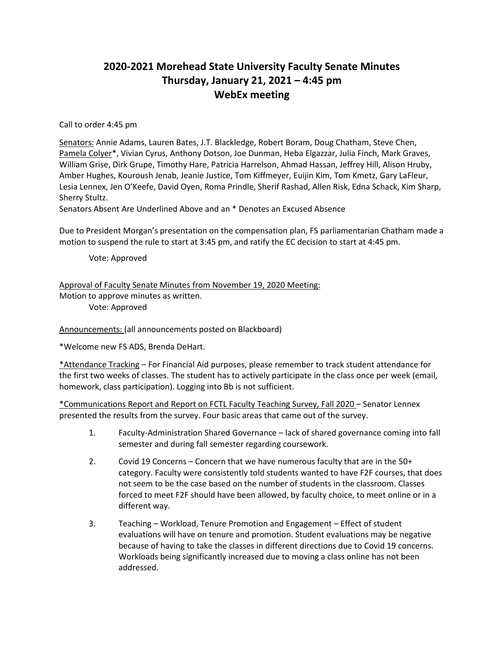## **2020-2021 Morehead State University Faculty Senate Minutes Thursday, January 21, 2021 – 4:45 pm WebEx meeting**

Call to order 4:45 pm

Senators: Annie Adams, Lauren Bates, J.T. Blackledge, Robert Boram, Doug Chatham, Steve Chen, Pamela Colyer\*, Vivian Cyrus, Anthony Dotson, Joe Dunman, Heba Elgazzar, Julia Finch, Mark Graves, William Grise, Dirk Grupe, Timothy Hare, Patricia Harrelson, Ahmad Hassan, Jeffrey Hill, Alison Hruby, Amber Hughes, Kouroush Jenab, Jeanie Justice, Tom Kiffmeyer, Euijin Kim, Tom Kmetz, Gary LaFleur, Lesia Lennex, Jen O'Keefe, David Oyen, Roma Prindle, Sherif Rashad, Allen Risk, Edna Schack, Kim Sharp, Sherry Stultz.

Senators Absent Are Underlined Above and an \* Denotes an Excused Absence

Due to President Morgan's presentation on the compensation plan, FS parliamentarian Chatham made a motion to suspend the rule to start at 3:45 pm, and ratify the EC decision to start at 4:45 pm.

Vote: Approved

Approval of Faculty Senate Minutes from November 19, 2020 Meeting: Motion to approve minutes as written. Vote: Approved

Announcements: (all announcements posted on Blackboard)

\*Welcome new FS ADS, Brenda DeHart.

\*Attendance Tracking – For Financial Aid purposes, please remember to track student attendance for the first two weeks of classes. The student has to actively participate in the class once per week (email, homework, class participation). Logging into Bb is not sufficient.

\*Communications Report and Report on FCTL Faculty Teaching Survey, Fall 2020 – Senator Lennex presented the results from the survey. Four basic areas that came out of the survey.

- 1. Faculty-Administration Shared Governance lack of shared governance coming into fall semester and during fall semester regarding coursework.
- 2. Covid 19 Concerns Concern that we have numerous faculty that are in the 50+ category. Faculty were consistently told students wanted to have F2F courses, that does not seem to be the case based on the number of students in the classroom. Classes forced to meet F2F should have been allowed, by faculty choice, to meet online or in a different way.
- 3. Teaching Workload, Tenure Promotion and Engagement Effect of student evaluations will have on tenure and promotion. Student evaluations may be negative because of having to take the classes in different directions due to Covid 19 concerns. Workloads being significantly increased due to moving a class online has not been addressed.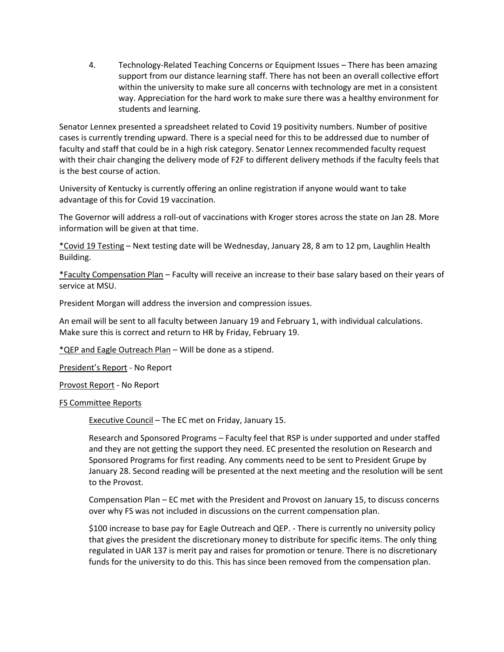4. Technology-Related Teaching Concerns or Equipment Issues – There has been amazing support from our distance learning staff. There has not been an overall collective effort within the university to make sure all concerns with technology are met in a consistent way. Appreciation for the hard work to make sure there was a healthy environment for students and learning.

Senator Lennex presented a spreadsheet related to Covid 19 positivity numbers. Number of positive cases is currently trending upward. There is a special need for this to be addressed due to number of faculty and staff that could be in a high risk category. Senator Lennex recommended faculty request with their chair changing the delivery mode of F2F to different delivery methods if the faculty feels that is the best course of action.

University of Kentucky is currently offering an online registration if anyone would want to take advantage of this for Covid 19 vaccination.

The Governor will address a roll-out of vaccinations with Kroger stores across the state on Jan 28. More information will be given at that time.

\*Covid 19 Testing – Next testing date will be Wednesday, January 28, 8 am to 12 pm, Laughlin Health Building.

\*Faculty Compensation Plan – Faculty will receive an increase to their base salary based on their years of service at MSU.

President Morgan will address the inversion and compression issues.

An email will be sent to all faculty between January 19 and February 1, with individual calculations. Make sure this is correct and return to HR by Friday, February 19.

\*QEP and Eagle Outreach Plan – Will be done as a stipend.

President's Report - No Report

Provost Report - No Report

## FS Committee Reports

Executive Council – The EC met on Friday, January 15.

Research and Sponsored Programs – Faculty feel that RSP is under supported and under staffed and they are not getting the support they need. EC presented the resolution on Research and Sponsored Programs for first reading. Any comments need to be sent to President Grupe by January 28. Second reading will be presented at the next meeting and the resolution will be sent to the Provost.

Compensation Plan – EC met with the President and Provost on January 15, to discuss concerns over why FS was not included in discussions on the current compensation plan.

\$100 increase to base pay for Eagle Outreach and QEP. - There is currently no university policy that gives the president the discretionary money to distribute for specific items. The only thing regulated in UAR 137 is merit pay and raises for promotion or tenure. There is no discretionary funds for the university to do this. This has since been removed from the compensation plan.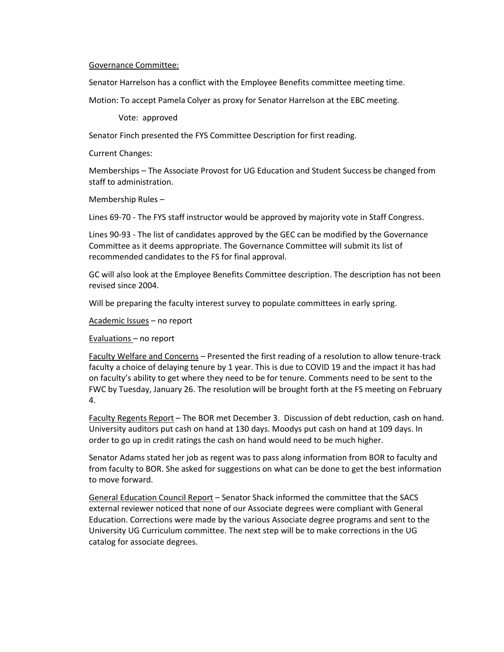## Governance Committee:

Senator Harrelson has a conflict with the Employee Benefits committee meeting time.

Motion: To accept Pamela Colyer as proxy for Senator Harrelson at the EBC meeting.

Vote: approved

Senator Finch presented the FYS Committee Description for first reading.

Current Changes:

Memberships – The Associate Provost for UG Education and Student Success be changed from staff to administration.

Membership Rules –

Lines 69-70 - The FYS staff instructor would be approved by majority vote in Staff Congress.

Lines 90-93 - The list of candidates approved by the GEC can be modified by the Governance Committee as it deems appropriate. The Governance Committee will submit its list of recommended candidates to the FS for final approval.

GC will also look at the Employee Benefits Committee description. The description has not been revised since 2004.

Will be preparing the faculty interest survey to populate committees in early spring.

Academic Issues – no report

Evaluations – no report

Faculty Welfare and Concerns – Presented the first reading of a resolution to allow tenure-track faculty a choice of delaying tenure by 1 year. This is due to COVID 19 and the impact it has had on faculty's ability to get where they need to be for tenure. Comments need to be sent to the FWC by Tuesday, January 26. The resolution will be brought forth at the FS meeting on February 4.

Faculty Regents Report – The BOR met December 3. Discussion of debt reduction, cash on hand. University auditors put cash on hand at 130 days. Moodys put cash on hand at 109 days. In order to go up in credit ratings the cash on hand would need to be much higher.

Senator Adams stated her job as regent was to pass along information from BOR to faculty and from faculty to BOR. She asked for suggestions on what can be done to get the best information to move forward.

General Education Council Report – Senator Shack informed the committee that the SACS external reviewer noticed that none of our Associate degrees were compliant with General Education. Corrections were made by the various Associate degree programs and sent to the University UG Curriculum committee. The next step will be to make corrections in the UG catalog for associate degrees.